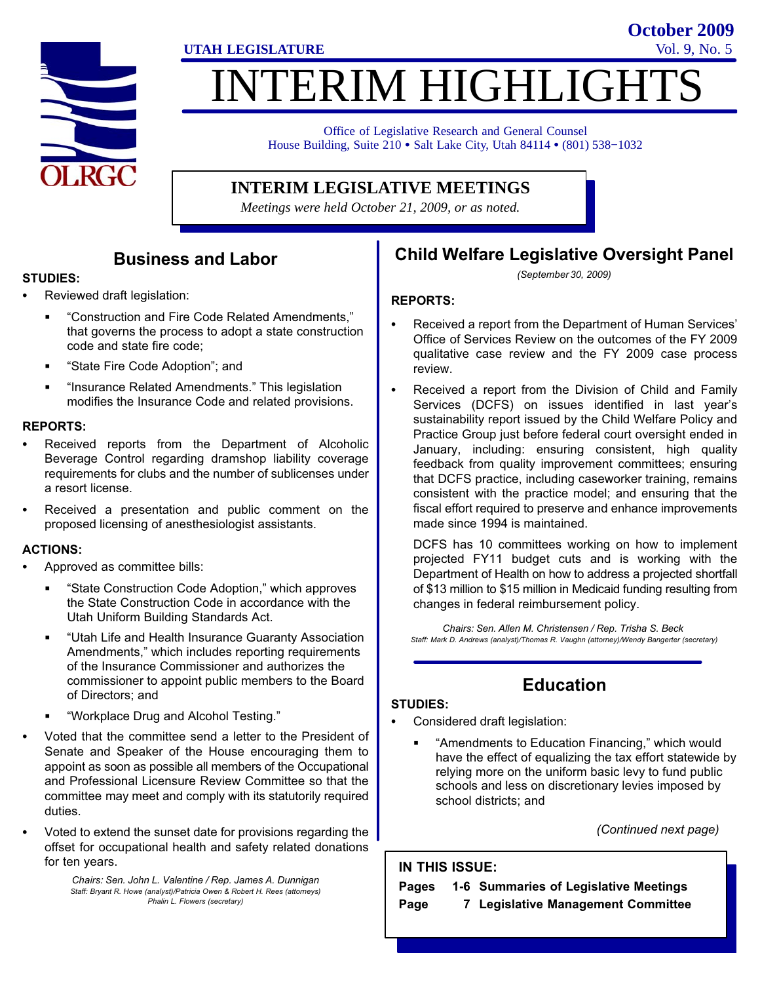

# **ITERIM HIGHLIGHTS**

**UTAH LEGISLATURE** Vol. 9, No. 5

Office of Legislative Research and General Counsel Office of Legislative Research and General Counsel<br>House Building, Suite 210 • Salt Lake City, Utah 84114 • (801) 538–1032

#### **INTERIM LEGISLATIVE MEETINGS**

*Meetings were held October 21, 2009, or as noted.*

#### Business and Labor

#### STUDIES:<br>-

- Reviewed draft legislation:
	- -Construction and Fire Code Related Amendments," that governs the process to adopt a state construction code and state fire code;
	- -State Fire Code Adoption"; and
	- -Insurance Related Amendments." This legislation modifies the Insurance Code and related provisions.

#### REPORTS:<br>—

- Received reports from the Department of Alcoholic Beverage Control regarding dramshop liability coverage requirements for clubs and the number of sublicenses under a resort license.
- Received a presentation and public comment on the proposed licensing of anesthesiologist assistants.

# ACTIONS: -

- Approved as committee bills:
	- -State Construction Code Adoption," which approves the State Construction Code in accordance with the Utah Uniform Building Standards Act.
	- $\blacksquare$  -Utah Life and Health Insurance Guaranty Association Amendments," which includes reporting requirements of the Insurance Commissioner and authorizes the commissioner to appoint public members to the Board of Directors; and
	- -Workplace Drug and Alcohol Testing."
- Voted that the committee send a letter to the President of Senate and Speaker of the House encouraging them to appoint as soon as possible all members of the Occupational and Professional Licensure Review Committee so that the committee may meet and comply with its statutorily required duties.
- Voted to extend the sunset date for provisions regarding the offset for occupational health and safety related donations for ten years.

Chairs: Sen. John L. Valentine / Rep. James A. Dunnigan Staff: Bryant R. Howe (analyst)/Patricia Owen & Robert H. Rees (attorneys) Phalin L. Flowers (secretary)

#### Child Welfare Legislative Oversight Panel

**October 2009**

(September 30, 2009)

#### REPORTS:

- Received a report from the Department of Human Services' Office of Services Review on the outcomes of the FY 2009 qualitative case review and the FY 2009 case process review.
- Received a report from the Division of Child and Family Services (DCFS) on issues identified in last year's sustainability report issued by the Child Welfare Policy and Practice Group just before federal court oversight ended in January, including: ensuring consistent, high quality feedback from quality improvement committees; ensuring that DCFS practice, including caseworker training, remains consistent with the practice model; and ensuring that the fiscal effort required to preserve and enhance improvements made since 1994 is maintained.

DCFS has 10 committees working on how to implement projected FY11 budget cuts and is working with the Department of Health on how to address a projected shortfall of \$13 million to \$15 million in Medicaid funding resulting from changes in federal reimbursement policy.

Chairs: Sen. Allen M. Christensen / Rep. Trisha S. Beck Staff: Mark D. Andrews (analyst)/Thomas R. Vaughn (attorney)/Wendy Bangerter (secretary)

# Education

# STUDIES:<br>-

- Considered draft legislation:
	- -Amendments to Education Financing," which would have the effect of equalizing the tax effort statewide by relying more on the uniform basic levy to fund public schools and less on discretionary levies imposed by school districts; and

(Continued next page)

#### IN THIS ISSUE:

#### Pages 1−6 Summaries of Legislative Meetings

Page 7 Legislative Management Committee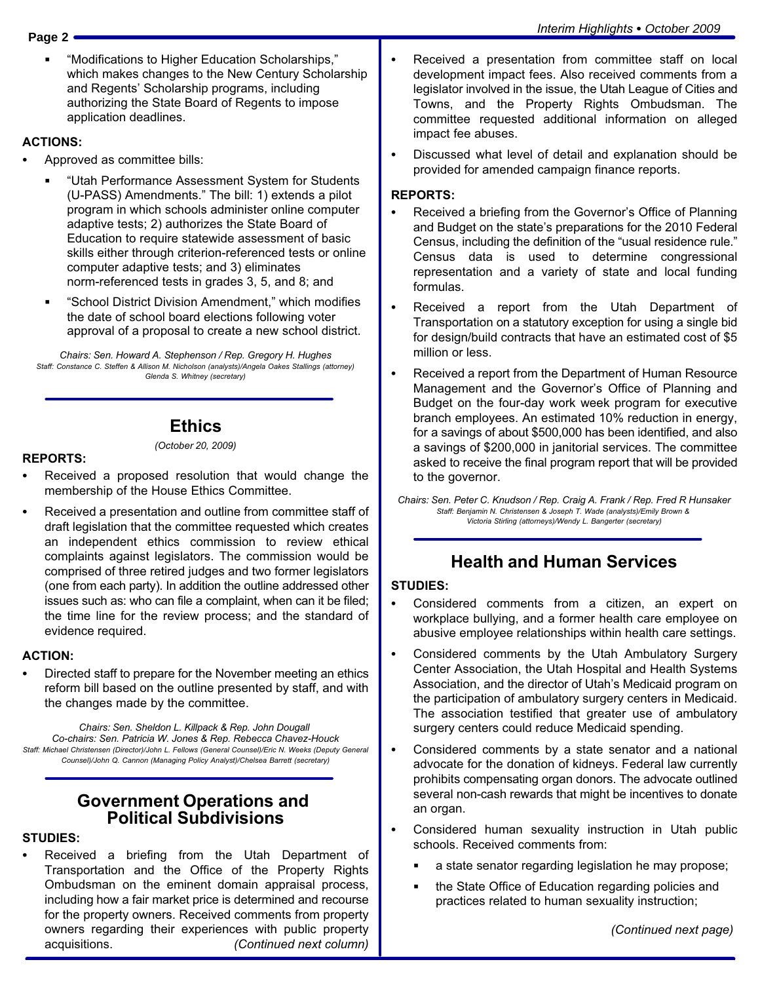-Modifications to Higher Education Scholarships," which makes changes to the New Century Scholarship and Regents' Scholarship programs, including authorizing the State Board of Regents to impose application deadlines.

#### ACTIONS: -

- Approved as committee bills:
	- -Utah Performance Assessment System for Students (U−PASS) Amendments." The bill: 1) extends a pilot program in which schools administer online computer adaptive tests; 2) authorizes the State Board of Education to require statewide assessment of basic skills either through criterion−referenced tests or online computer adaptive tests; and 3) eliminates norm−referenced tests in grades 3, 5, and 8; and
	- -School District Division Amendment," which modifies the date of school board elections following voter approval of a proposal to create a new school district.

Chairs: Sen. Howard A. Stephenson / Rep. Gregory H. Hughes Staff: Constance C. Steffen & Allison M. Nicholson (analysts)/Angela Oakes Stallings (attorney) Glenda S. Whitney (secretary)

#### **Ethics** (October 20, 2009)

#### REPORTS: -

- Received a proposed resolution that would change the membership of the House Ethics Committee.
- Received a presentation and outline from committee staff of draft legislation that the committee requested which creates an independent ethics commission to review ethical complaints against legislators. The commission would be comprised of three retired judges and two former legislators (one from each party). In addition the outline addressed other issues such as: who can file a complaint, when can it be filed; the time line for the review process; and the standard of evidence required.

#### ACTION: -

 Directed staff to prepare for the November meeting an ethics reform bill based on the outline presented by staff, and with the changes made by the committee.

Chairs: Sen. Sheldon L. Killpack & Rep. John Dougall Co−chairs: Sen. Patricia W. Jones & Rep. Rebecca Chavez−Houck Staff: Michael Christensen (Director)/John L. Fellows (General Counsel)/Eric N. Weeks (Deputy General Counsel)/John Q. Cannon (Managing Policy Analyst)/Chelsea Barrett (secretary)

#### Government Operations and Political Subdivisions

#### STUDIES:<br>-

 Received a briefing from the Utah Department of Transportation and the Office of the Property Rights Ombudsman on the eminent domain appraisal process, including how a fair market price is determined and recourse for the property owners. Received comments from property owners regarding their experiences with public property acquisitions. (Continued next column)

- Received a presentation from committee staff on local development impact fees. Also received comments from a legislator involved in the issue, the Utah League of Cities and Towns, and the Property Rights Ombudsman. The committee requested additional information on alleged impact fee abuses.
- Discussed what level of detail and explanation should be provided for amended campaign finance reports.

#### REPORTS: -

- Received a briefing from the Governor's Office of Planning and Budget on the state's preparations for the 2010 Federal Census, including the definition of the "usual residence rule." Census data is used to determine congressional representation and a variety of state and local funding formulas.
- Received a report from the Utah Department of Transportation on a statutory exception for using a single bid for design/build contracts that have an estimated cost of \$5 million or less.
- Received a report from the Department of Human Resource Management and the Governor's Office of Planning and Budget on the four−day work week program for executive branch employees. An estimated 10% reduction in energy, for a savings of about \$500,000 has been identified, and also a savings of \$200,000 in janitorial services. The committee asked to receive the final program report that will be provided to the governor.

Chairs: Sen. Peter C. Knudson / Rep. Craig A. Frank / Rep. Fred R Hunsaker Staff: Benjamin N. Christensen & Joseph T. Wade (analysts)/Emily Brown & Victoria Stirling (attorneys)/Wendy L. Bangerter (secretary)

#### Health and Human Services

#### STUDIES:<br>-

- Considered comments from a citizen, an expert on workplace bullying, and a former health care employee on abusive employee relationships within health care settings.
- Considered comments by the Utah Ambulatory Surgery Center Association, the Utah Hospital and Health Systems Association, and the director of Utah's Medicaid program on the participation of ambulatory surgery centers in Medicaid. The association testified that greater use of ambulatory surgery centers could reduce Medicaid spending.
- Considered comments by a state senator and a national advocate for the donation of kidneys. Federal law currently prohibits compensating organ donors. The advocate outlined several non−cash rewards that might be incentives to donate an organ.
- Considered human sexuality instruction in Utah public schools. Received comments from:
	- a state senator regarding legislation he may propose;
	- the State Office of Education regarding policies and practices related to human sexuality instruction;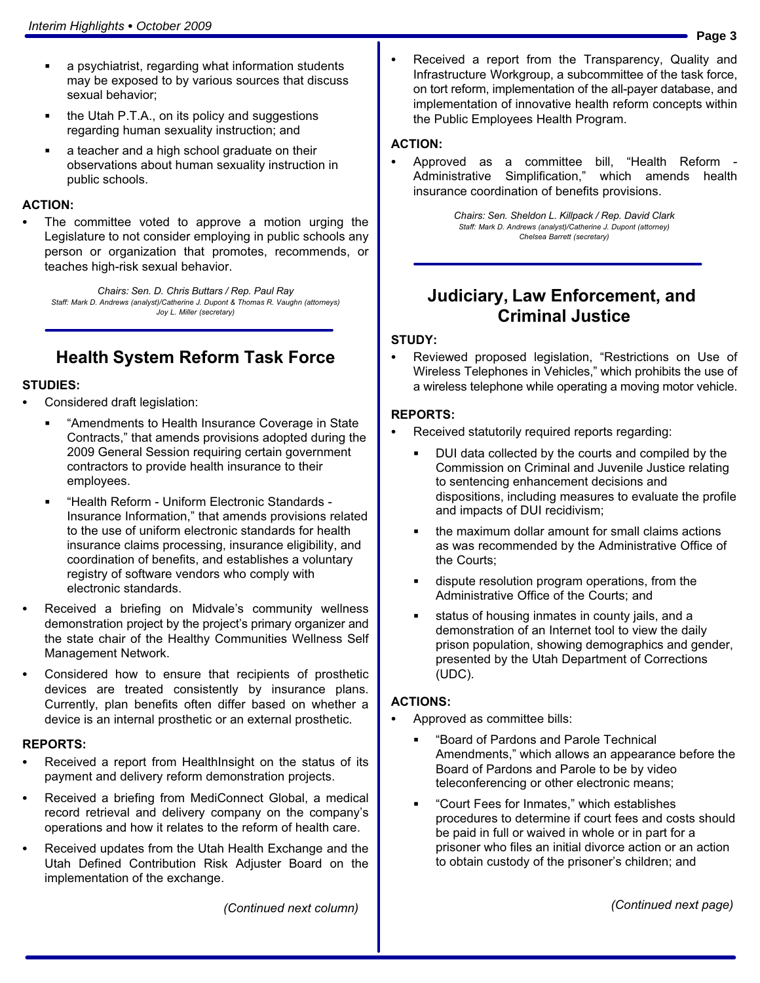- $\blacksquare$  a psychiatrist, regarding what information students may be exposed to by various sources that discuss sexual behavior;
- the Utah P.T.A., on its policy and suggestions regarding human sexuality instruction; and
- a teacher and a high school graduate on their observations about human sexuality instruction in public schools.

#### ACTION: -

 The committee voted to approve a motion urging the Legislature to not consider employing in public schools any person or organization that promotes, recommends, or teaches high−risk sexual behavior.

Chairs: Sen. D. Chris Buttars / Rep. Paul Ray Staff: Mark D. Andrews (analyst)/Catherine J. Dupont & Thomas R. Vaughn (attorneys) Joy L. Miller (secretary)

#### Health System Reform Task Force

# STUDIES:<br>-

- Considered draft legislation:
	- -Amendments to Health Insurance Coverage in State Contracts," that amends provisions adopted during the 2009 General Session requiring certain government contractors to provide health insurance to their employees.
	- -Health Reform − Uniform Electronic Standards − Insurance Information," that amends provisions related to the use of uniform electronic standards for health insurance claims processing, insurance eligibility, and coordination of benefits, and establishes a voluntary registry of software vendors who comply with electronic standards.
- Received a briefing on Midvale's community wellness demonstration project by the project's primary organizer and the state chair of the Healthy Communities Wellness Self Management Network.
- Considered how to ensure that recipients of prosthetic devices are treated consistently by insurance plans. Currently, plan benefits often differ based on whether a device is an internal prosthetic or an external prosthetic.

#### REPORTS:<br>—

- Received a report from HealthInsight on the status of its payment and delivery reform demonstration projects.
- Received a briefing from MediConnect Global, a medical record retrieval and delivery company on the company's operations and how it relates to the reform of health care.
- Received updates from the Utah Health Exchange and the Utah Defined Contribution Risk Adjuster Board on the implementation of the exchange.

 Received a report from the Transparency, Quality and Infrastructure Workgroup, a subcommittee of the task force, on tort reform, implementation of the all−payer database, and implementation of innovative health reform concepts within the Public Employees Health Program.

#### ACTION: -

• Approved as a committee bill, "Health Reform -Administrative Simplification," which amends health insurance coordination of benefits provisions.

> Chairs: Sen. Sheldon L. Killpack / Rep. David Clark Staff: Mark D. Andrews (analyst)/Catherine J. Dupont (attorney) Chelsea Barrett (secretary)

#### Judiciary, Law Enforcement, and Criminal Justice

#### STUDY:<br>-

• Reviewed proposed legislation, "Restrictions on Use of Wireless Telephones in Vehicles," which prohibits the use of a wireless telephone while operating a moving motor vehicle.

#### REPORTS: -

- Received statutorily required reports regarding:
	- DUI data collected by the courts and compiled by the Commission on Criminal and Juvenile Justice relating to sentencing enhancement decisions and dispositions, including measures to evaluate the profile and impacts of DUI recidivism;
	- the maximum dollar amount for small claims actions as was recommended by the Administrative Office of the Courts;
	- dispute resolution program operations, from the Administrative Office of the Courts; and
	- status of housing inmates in county jails, and a demonstration of an Internet tool to view the daily prison population, showing demographics and gender, presented by the Utah Department of Corrections (UDC).

# ACTIONS: -

- Approved as committee bills:
	- -Board of Pardons and Parole Technical Amendments," which allows an appearance before the Board of Pardons and Parole to be by video teleconferencing or other electronic means;
	- -Court Fees for Inmates," which establishes procedures to determine if court fees and costs should be paid in full or waived in whole or in part for a prisoner who files an initial divorce action or an action to obtain custody of the prisoner's children; and

(Continued next column)

(Continued next page)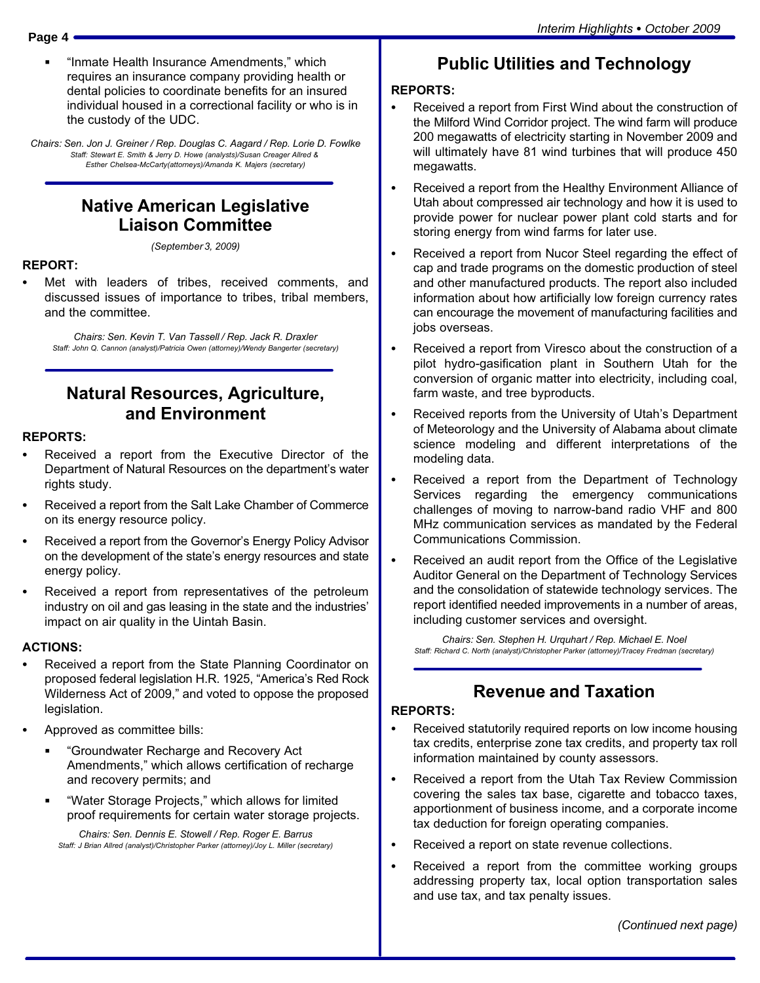-Inmate Health Insurance Amendments," which requires an insurance company providing health or dental policies to coordinate benefits for an insured individual housed in a correctional facility or who is in the custody of the UDC.

Chairs: Sen. Jon J. Greiner / Rep. Douglas C. Aagard / Rep. Lorie D. Fowlke Staff: Stewart E. Smith & Jerry D. Howe (analysts)/Susan Creager Allred & Esther Chelsea−McCarty(attorneys)/Amanda K. Majers (secretary)

#### Native American Legislative Liaison Committee

(September 3, 2009)

# REPORT:<br>...

 Met with leaders of tribes, received comments, and discussed issues of importance to tribes, tribal members, and the committee.

Chairs: Sen. Kevin T. Van Tassell / Rep. Jack R. Draxler Staff: John Q. Cannon (analyst)/Patricia Owen (attorney)/Wendy Bangerter (secretary)

#### Natural Resources, Agriculture, and Environment

#### REPORTS: -

- Received a report from the Executive Director of the Department of Natural Resources on the department's water rights study.
- Received a report from the Salt Lake Chamber of Commerce on its energy resource policy.
- Received a report from the Governor's Energy Policy Advisor on the development of the state's energy resources and state energy policy.
- Received a report from representatives of the petroleum industry on oil and gas leasing in the state and the industries' impact on air quality in the Uintah Basin.

#### ACTIONS: -

- Received a report from the State Planning Coordinator on proposed federal legislation H.R. 1925, "America's Red Rock Wilderness Act of 2009," and voted to oppose the proposed legislation.
- Approved as committee bills:
	- -Groundwater Recharge and Recovery Act Amendments," which allows certification of recharge and recovery permits; and
	- -Water Storage Projects," which allows for limited proof requirements for certain water storage projects.

Chairs: Sen. Dennis E. Stowell / Rep. Roger E. Barrus Staff: J Brian Allred (analyst)/Christopher Parker (attorney)/Joy L. Miller (secretary)

#### Public Utilities and Technology

#### REPORTS: -

- Received a report from First Wind about the construction of the Milford Wind Corridor project. The wind farm will produce 200 megawatts of electricity starting in November 2009 and will ultimately have 81 wind turbines that will produce 450 megawatts.
- Received a report from the Healthy Environment Alliance of Utah about compressed air technology and how it is used to provide power for nuclear power plant cold starts and for storing energy from wind farms for later use.
- Received a report from Nucor Steel regarding the effect of cap and trade programs on the domestic production of steel and other manufactured products. The report also included information about how artificially low foreign currency rates can encourage the movement of manufacturing facilities and jobs overseas.
- Received a report from Viresco about the construction of a pilot hydro−gasification plant in Southern Utah for the conversion of organic matter into electricity, including coal, farm waste, and tree byproducts.
- $\bullet$  Received reports from the University of Utah's Department of Meteorology and the University of Alabama about climate science modeling and different interpretations of the modeling data.
- $\bullet$  Received a report from the Department of Technology Services regarding the emergency communications challenges of moving to narrow−band radio VHF and 800 MHz communication services as mandated by the Federal Communications Commission.
- $\bullet$  Received an audit report from the Office of the Legislative Auditor General on the Department of Technology Services and the consolidation of statewide technology services. The report identified needed improvements in a number of areas, including customer services and oversight.

Chairs: Sen. Stephen H. Urquhart / Rep. Michael E. Noel Staff: Richard C. North (analyst)/Christopher Parker (attorney)/Tracey Fredman (secretary)

#### Revenue and Taxation

#### REPORTS: -

- Received statutorily required reports on low income housing tax credits, enterprise zone tax credits, and property tax roll information maintained by county assessors.
- Received a report from the Utah Tax Review Commission covering the sales tax base, cigarette and tobacco taxes, apportionment of business income, and a corporate income tax deduction for foreign operating companies.
- -Received a report on state revenue collections.
- Received a report from the committee working groups addressing property tax, local option transportation sales and use tax, and tax penalty issues.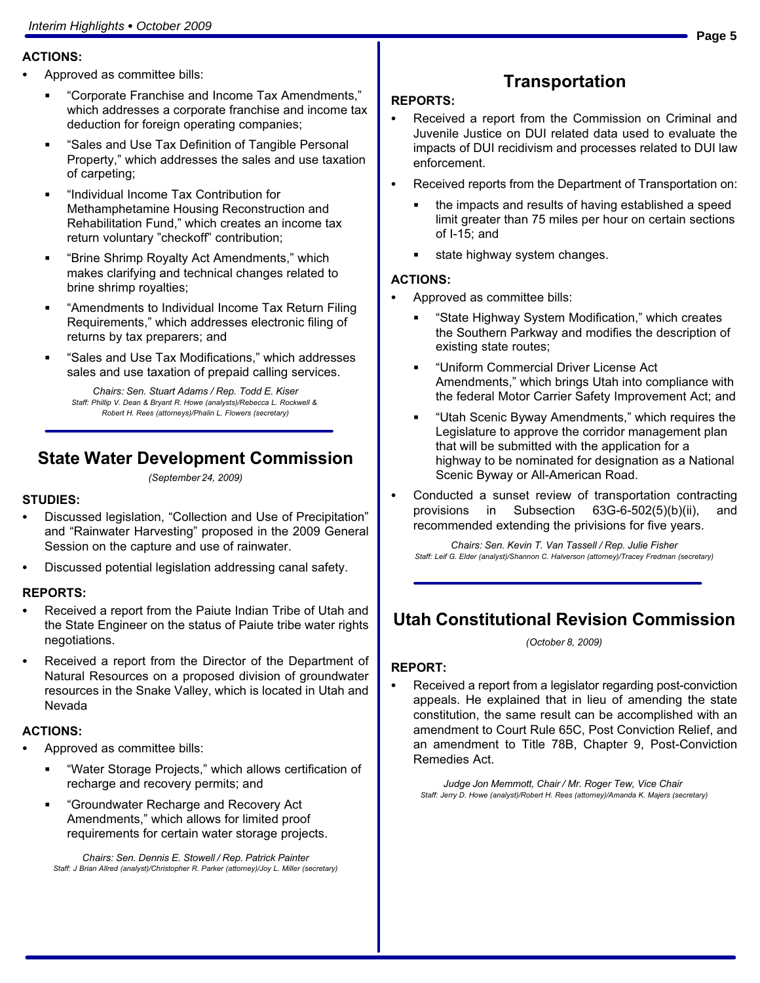#### ACTIONS: -

- Approved as committee bills:
	- -Corporate Franchise and Income Tax Amendments," which addresses a corporate franchise and income tax deduction for foreign operating companies;
	- -Sales and Use Tax Definition of Tangible Personal Property," which addresses the sales and use taxation of carpeting;
	- -Individual Income Tax Contribution for Methamphetamine Housing Reconstruction and Rehabilitation Fund," which creates an income tax return voluntary "checkoff" contribution;
	- Ë -Brine Shrimp Royalty Act Amendments," which makes clarifying and technical changes related to brine shrimp royalties;
	- -Amendments to Individual Income Tax Return Filing Requirements," which addresses electronic filing of returns by tax preparers; and
	- -Sales and Use Tax Modifications," which addresses sales and use taxation of prepaid calling services.

Chairs: Sen. Stuart Adams / Rep. Todd E. Kiser Staff: Phillip V. Dean & Bryant R. Howe (analysts)/Rebecca L. Rockwell & Robert H. Rees (attorneys)/Phalin L. Flowers (secretary)

#### State Water Development Commission

(September 24, 2009)

#### STUDIES:<br>--

- Discussed legislation, "Collection and Use of Precipitation" and "Rainwater Harvesting" proposed in the 2009 General Session on the capture and use of rainwater.
- Discussed potential legislation addressing canal safety.

#### REPORTS: -

- Received a report from the Paiute Indian Tribe of Utah and the State Engineer on the status of Paiute tribe water rights negotiations.
- Received a report from the Director of the Department of Natural Resources on a proposed division of groundwater resources in the Snake Valley, which is located in Utah and Nevada

#### ACTIONS: -

- Approved as committee bills:
	- $\blacksquare$  -Water Storage Projects," which allows certification of recharge and recovery permits; and
	- -Groundwater Recharge and Recovery Act Amendments," which allows for limited proof requirements for certain water storage projects.

Chairs: Sen. Dennis E. Stowell / Rep. Patrick Painter Staff: J Brian Allred (analyst)/Christopher R. Parker (attorney)/Joy L. Miller (secretary)

# **Transportation**

#### REPORTS: - Received a report from the Commission on Criminal and Juvenile Justice on DUI related data used to evaluate the impacts of DUI recidivism and processes related to DUI law enforcement.

- Received reports from the Department of Transportation on:
	- the impacts and results of having established a speed limit greater than 75 miles per hour on certain sections of I−15; and
	- state highway system changes.

# ACTIONS: -

- Approved as committee bills:
	- -State Highway System Modification," which creates the Southern Parkway and modifies the description of existing state routes;
	- -Uniform Commercial Driver License Act Amendments," which brings Utah into compliance with the federal Motor Carrier Safety Improvement Act; and
	- -Utah Scenic Byway Amendments," which requires the Legislature to approve the corridor management plan that will be submitted with the application for a highway to be nominated for designation as a National Scenic Byway or All−American Road.
- Conducted a sunset review of transportation contracting provisions in Subsection 63G−6−502(5)(b)(ii), and recommended extending the privisions for five years.

Chairs: Sen. Kevin T. Van Tassell / Rep. Julie Fisher Staff: Leif G. Elder (analyst)/Shannon C. Halverson (attorney)/Tracey Fredman (secretary)

#### Utah Constitutional Revision Commission

(October 8, 2009)

#### REPORT: -

 Received a report from a legislator regarding post−conviction appeals. He explained that in lieu of amending the state constitution, the same result can be accomplished with an amendment to Court Rule 65C, Post Conviction Relief, and an amendment to Title 78B, Chapter 9, Post−Conviction Remedies Act.

Judge Jon Memmott, Chair / Mr. Roger Tew, Vice Chair Staff: Jerry D. Howe (analyst)/Robert H. Rees (attorney)/Amanda K. Majers (secretary)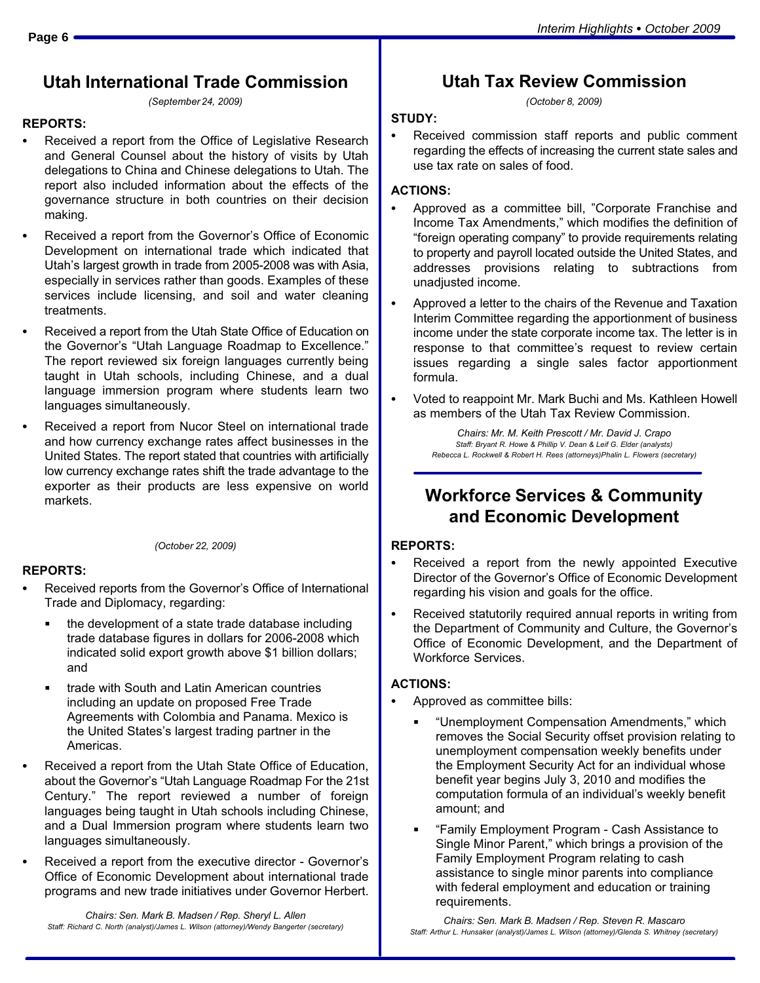#### Utah International Trade Commission

(September 24, 2009)

#### REPORTS: -

- Received a report from the Office of Legislative Research and General Counsel about the history of visits by Utah delegations to China and Chinese delegations to Utah. The report also included information about the effects of the governance structure in both countries on their decision making.
- Received a report from the Governor's Office of Economic Development on international trade which indicated that Utah´s largest growth in trade from 2005−2008 was with Asia, especially in services rather than goods. Examples of these services include licensing, and soil and water cleaning treatments.
- Received a report from the Utah State Office of Education on the Governor's "Utah Language Roadmap to Excellence." The report reviewed six foreign languages currently being taught in Utah schools, including Chinese, and a dual language immersion program where students learn two languages simultaneously.
- Received a report from Nucor Steel on international trade and how currency exchange rates affect businesses in the United States. The report stated that countries with artificially low currency exchange rates shift the trade advantage to the exporter as their products are less expensive on world markets.

(October 22, 2009)

# REPORTS: -

- Received reports from the Governor's Office of International Trade and Diplomacy, regarding:
	- the development of a state trade database including trade database figures in dollars for 2006−2008 which indicated solid export growth above \$1 billion dollars; and
	- trade with South and Latin American countries including an update on proposed Free Trade Agreements with Colombia and Panama. Mexico is the United States´s largest trading partner in the Americas.
- Received a report from the Utah State Office of Education, about the Governor's "Utah Language Roadmap For the 21st Century." The report reviewed a number of foreign languages being taught in Utah schools including Chinese, and a Dual Immersion program where students learn two languages simultaneously.
- Received a report from the executive director − Governor´s Office of Economic Development about international trade programs and new trade initiatives under Governor Herbert.

Chairs: Sen. Mark B. Madsen / Rep. Sheryl L. Allen Staff: Richard C. North (analyst)/James L. Wilson (attorney)/Wendy Bangerter (secretary)

#### Utah Tax Review Commission

(October 8, 2009)

#### STUDY: -

 Received commission staff reports and public comment regarding the effects of increasing the current state sales and use tax rate on sales of food.

#### ACTIONS: -

- Approved as a committee bill, "Corporate Franchise and Income Tax Amendments," which modifies the definition of -foreign operating company" to provide requirements relating to property and payroll located outside the United States, and addresses provisions relating to subtractions from unadiusted income.
- Approved a letter to the chairs of the Revenue and Taxation Interim Committee regarding the apportionment of business income under the state corporate income tax. The letter is in response to that committee's request to review certain issues regarding a single sales factor apportionment formula.
- Voted to reappoint Mr. Mark Buchi and Ms. Kathleen Howell as members of the Utah Tax Review Commission.

Chairs: Mr. M. Keith Prescott / Mr. David J. Crapo Staff: Bryant R. Howe & Phillip V. Dean & Leif G. Elder (analysts) Rebecca L. Rockwell & Robert H. Rees (attorneys)Phalin L. Flowers (secretary)

#### Workforce Services & Community and Economic Development

#### REPORTS:<br>—

- Received a report from the newly appointed Executive Director of the Governor's Office of Economic Development regarding his vision and goals for the office.
- Received statutorily required annual reports in writing from the Department of Community and Culture, the Governor's Office of Economic Development, and the Department of Workforce Services.

# ACTIONS: -

- Approved as committee bills:
	- -Unemployment Compensation Amendments," which removes the Social Security offset provision relating to unemployment compensation weekly benefits under the Employment Security Act for an individual whose benefit year begins July 3, 2010 and modifies the computation formula of an individual's weekly benefit amount; and
	- -Family Employment Program − Cash Assistance to Single Minor Parent," which brings a provision of the Family Employment Program relating to cash assistance to single minor parents into compliance with federal employment and education or training requirements.

Chairs: Sen. Mark B. Madsen / Rep. Steven R. Mascaro Staff: Arthur L. Hunsaker (analyst)/James L. Wilson (attorney)/Glenda S. Whitney (secretary)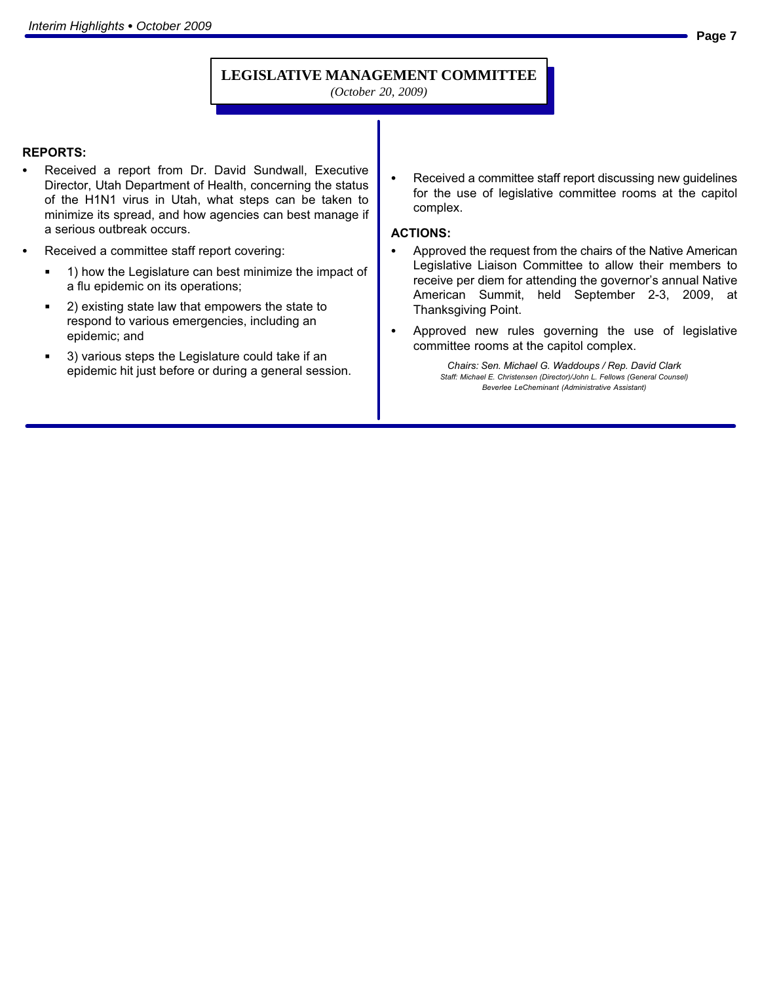#### **LEGISLATIVE MANAGEMENT COMMITTEE**

*(October 20, 2009)*

#### REPORTS:<br>—

- Received a report from Dr. David Sundwall, Executive Director, Utah Department of Health, concerning the status of the H1N1 virus in Utah, what steps can be taken to minimize its spread, and how agencies can best manage if a serious outbreak occurs.
- Received a committee staff report covering:
	- 1) how the Legislature can best minimize the impact of a flu epidemic on its operations;
	- 2) existing state law that empowers the state to respond to various emergencies, including an epidemic; and
	- 3) various steps the Legislature could take if an epidemic hit just before or during a general session.

 Received a committee staff report discussing new guidelines for the use of legislative committee rooms at the capitol complex.

#### ACTIONS: -

- Approved the request from the chairs of the Native American Legislative Liaison Committee to allow their members to receive per diem for attending the governor's annual Native American Summit, held September 2−3, 2009, at Thanksgiving Point.
- Approved new rules governing the use of legislative committee rooms at the capitol complex.

Chairs: Sen. Michael G. Waddoups / Rep. David Clark Staff: Michael E. Christensen (Director)/John L. Fellows (General Counsel) Beverlee LeCheminant (Administrative Assistant)